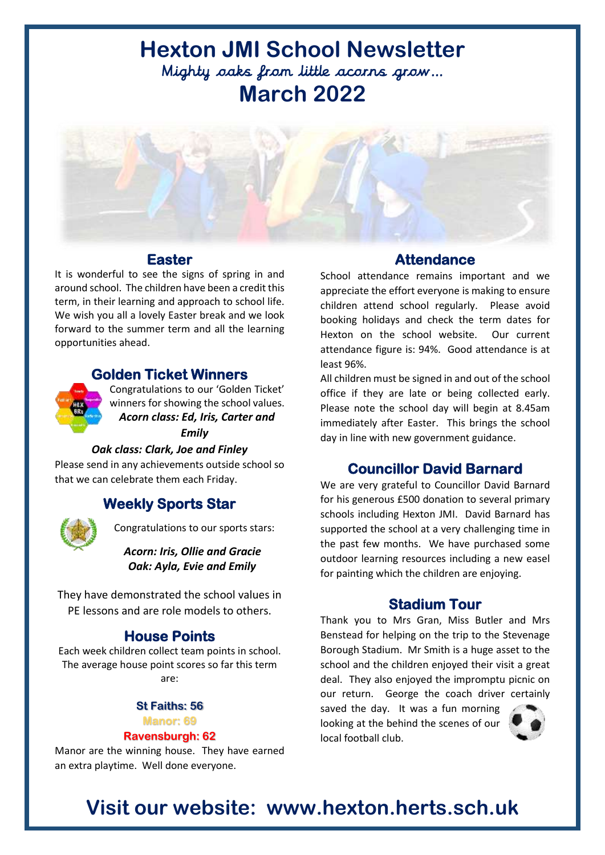# **Hexton JMI School Newsletter**  Mighty oaks from little acorns grow… **March 2022**



### **Easter**

It is wonderful to see the signs of spring in and around school. The children have been a credit this term, in their learning and approach to school life. We wish you all a lovely Easter break and we look forward to the summer term and all the learning opportunities ahead.

## **Golden Ticket Winners**



Congratulations to our 'Golden Ticket' winners for showing the school values. *Acorn class: Ed, Iris, Carter and Emily* 

### *Oak class: Clark, Joe and Finley*

Please send in any achievements outside school so that we can celebrate them each Friday.

## **Weekly Sports Star**



Congratulations to our sports stars:

*Acorn: Iris, Ollie and Gracie Oak: Ayla, Evie and Emily*

They have demonstrated the school values in PE lessons and are role models to others.

## **House Points**

Each week children collect team points in school. The average house point scores so far this term are:

### **St Faiths: 56**

#### **Manor: 69**

#### **Ravensburgh: 62**

Manor are the winning house. They have earned an extra playtime. Well done everyone.

## **Attendance**

School attendance remains important and we appreciate the effort everyone is making to ensure children attend school regularly. Please avoid booking holidays and check the term dates for Hexton on the school website. Our current attendance figure is: 94%. Good attendance is at least 96%.

All children must be signed in and out of the school office if they are late or being collected early. Please note the school day will begin at 8.45am immediately after Easter. This brings the school day in line with new government guidance.

## **Councillor David Barnard**

We are very grateful to Councillor David Barnard for his generous £500 donation to several primary schools including Hexton JMI. David Barnard has supported the school at a very challenging time in the past few months. We have purchased some outdoor learning resources including a new easel for painting which the children are enjoying.

### **Stadium Tour**

Thank you to Mrs Gran, Miss Butler and Mrs Benstead for helping on the trip to the Stevenage Borough Stadium. Mr Smith is a huge asset to the school and the children enjoyed their visit a great deal. They also enjoyed the impromptu picnic on our return. George the coach driver certainly

saved the day. It was a fun morning looking at the behind the scenes of our local football club.



## **Visit our website: www.hexton.herts.sch.uk**